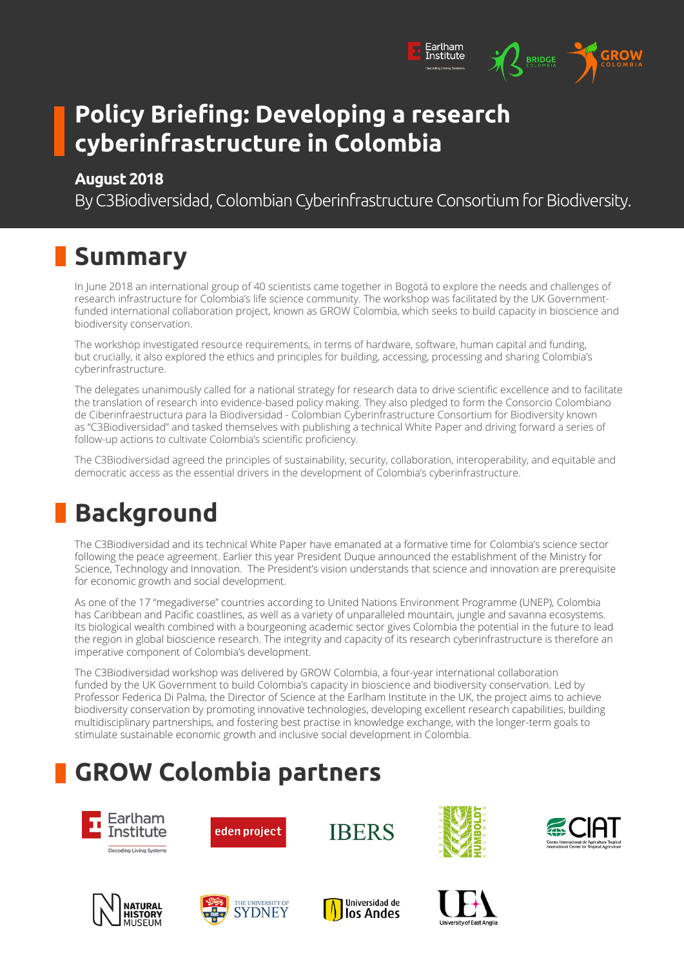### **Policy Briefing: Developing a research cyberinfrastructure in Colombia**

#### **August 2018**

By C3Biodiversidad, Colombian Cyberinfrastructure Consortium for Biodiversity.

Earlham<br>Institute

**BRIDGE** 

# **Summary**

In June 2018 an international group of 40 scientists came together in Bogotá to explore the needs and challenges of research infrastructure for Colombia's life science community. The workshop was facilitated by the UK Governmentfunded international collaboration project, known as GROW Colombia, which seeks to build capacity in bioscience and biodiversity conservation.

The workshop investigated resource requirements, in terms of hardware, software, human capital and funding, but crucially, it also explored the ethics and principles for building, accessing, processing and sharing Colombia's cyberinfrastructure.

The delegates unanimously called for a national strategy for research data to drive scientific excellence and to facilitate the translation of research into evidence-based policy making. They also pledged to form the Consorcio Colombiano de Ciberinfraestructura para la Biodiversidad - Colombian Cyberinfrastructure Consortium for Biodiversity known as "C3Biodiversidad" and tasked themselves with publishing a technical White Paper and driving forward a series of follow-up actions to cultivate Colombia's scientific proficiency.

The C3Biodiversidad agreed the principles of sustainability, security, collaboration, interoperability, and equitable and democratic access as the essential drivers in the development of Colombia's cyberinfrastructure.

### **Background**

The C3Biodiversidad and its technical White Paper have emanated at a formative time for Colombia's science sector following the peace agreement. Earlier this year President Duque announced the establishment of the Ministry for Science, Technology and Innovation. The President's vision understands that science and innovation are prerequisite for economic growth and social development.

As one of the 17 "megadiverse" countries according to United Nations Environment Programme (UNEP), Colombia has Caribbean and Pacific coastlines, as well as a variety of unparalleled mountain, jungle and savanna ecosystems. Its biological wealth combined with a bourgeoning academic sector gives Colombia the potential in the future to lead the region in global bioscience research. The integrity and capacity of its research cyberinfrastructure is therefore an imperative component of Colombia's development.

The C3Biodiversidad workshop was delivered by GROW Colombia, a four-year international collaboration funded by the UK Government to build Colombia's capacity in bioscience and biodiversity conservation. Led by Professor Federica Di Palma, the Director of Science at the Earlham Institute in the UK, the project aims to achieve biodiversity conservation by promoting innovative technologies, developing excellent research capabilities, building multidisciplinary partnerships, and fostering best practise in knowledge exchange, with the longer-term goals to stimulate sustainable economic growth and inclusive social development in Colombia.

# **GROW Colombia partners**

















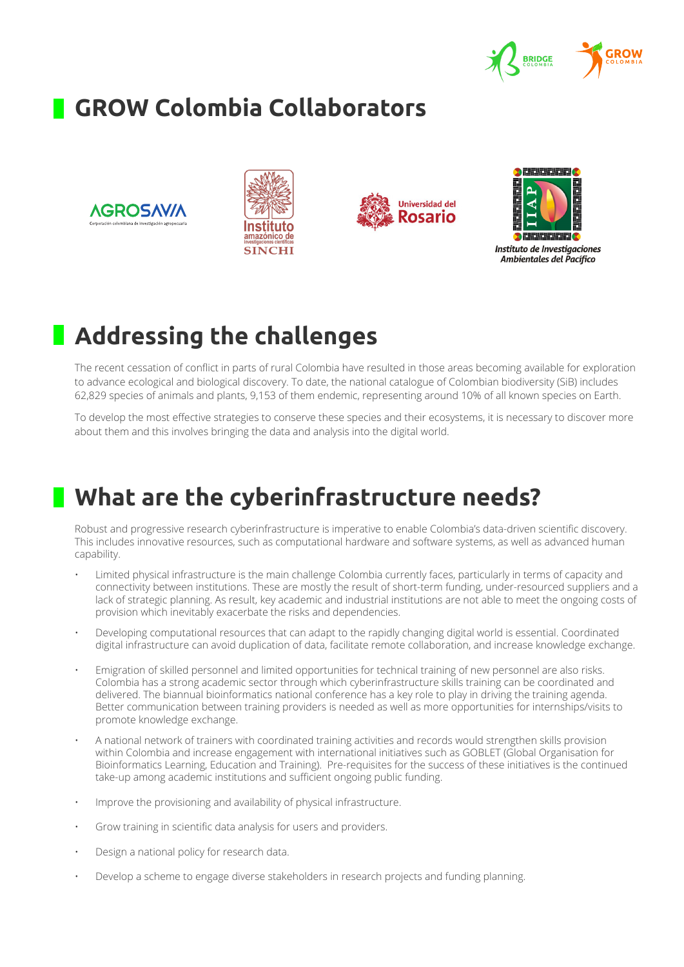

#### **GROW Colombia Collaborators**









# **Addressing the challenges**

The recent cessation of conflict in parts of rural Colombia have resulted in those areas becoming available for exploration to advance ecological and biological discovery. To date, the national catalogue of Colombian biodiversity (SiB) includes 62,829 species of animals and plants, 9,153 of them endemic, representing around 10% of all known species on Earth.

To develop the most effective strategies to conserve these species and their ecosystems, it is necessary to discover more about them and this involves bringing the data and analysis into the digital world.

#### **What are the cyberinfrastructure needs?**

Robust and progressive research cyberinfrastructure is imperative to enable Colombia's data-driven scientific discovery. This includes innovative resources, such as computational hardware and software systems, as well as advanced human capability.

- Limited physical infrastructure is the main challenge Colombia currently faces, particularly in terms of capacity and connectivity between institutions. These are mostly the result of short-term funding, under-resourced suppliers and a lack of strategic planning. As result, key academic and industrial institutions are not able to meet the ongoing costs of provision which inevitably exacerbate the risks and dependencies.
- Developing computational resources that can adapt to the rapidly changing digital world is essential. Coordinated digital infrastructure can avoid duplication of data, facilitate remote collaboration, and increase knowledge exchange.
- Emigration of skilled personnel and limited opportunities for technical training of new personnel are also risks. Colombia has a strong academic sector through which cyberinfrastructure skills training can be coordinated and delivered. The biannual bioinformatics national conference has a key role to play in driving the training agenda. Better communication between training providers is needed as well as more opportunities for internships/visits to promote knowledge exchange.
- A national network of trainers with coordinated training activities and records would strengthen skills provision within Colombia and increase engagement with international initiatives such as GOBLET (Global Organisation for Bioinformatics Learning, Education and Training). Pre-requisites for the success of these initiatives is the continued take-up among academic institutions and sufficient ongoing public funding.
- Improve the provisioning and availability of physical infrastructure.
- Grow training in scientific data analysis for users and providers.
- Design a national policy for research data.
- Develop a scheme to engage diverse stakeholders in research projects and funding planning.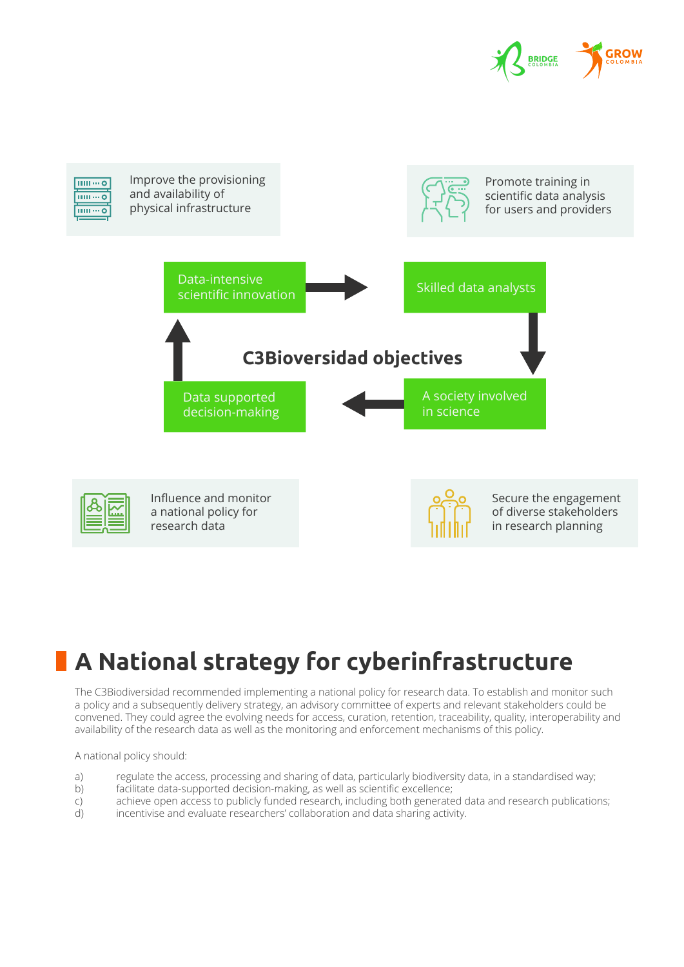



# **A National strategy for cyberinfrastructure**

The C3Biodiversidad recommended implementing a national policy for research data. To establish and monitor such a policy and a subsequently delivery strategy, an advisory committee of experts and relevant stakeholders could be convened. They could agree the evolving needs for access, curation, retention, traceability, quality, interoperability and availability of the research data as well as the monitoring and enforcement mechanisms of this policy.

A national policy should:

- a) regulate the access, processing and sharing of data, particularly biodiversity data, in a standardised way;
- b) facilitate data-supported decision-making, as well as scientific excellence;
- c) achieve open access to publicly funded research, including both generated data and research publications;
- d) incentivise and evaluate researchers' collaboration and data sharing activity.